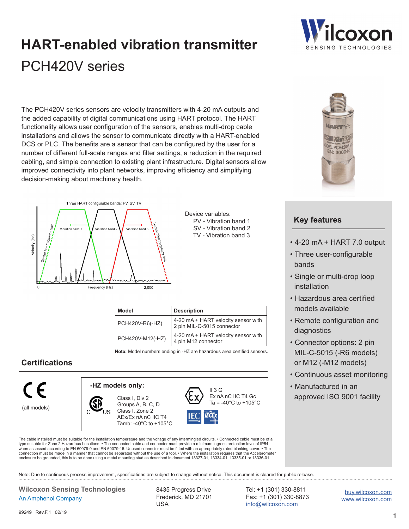# PCH420V series **HART-enabled vibration transmitter**

The PCH420V series sensors are velocity transmitters with 4-20 mA outputs and the added capability of digital communications using HART protocol. The HART functionality allows user configuration of the sensors, enables multi-drop cable installations and allows the sensor to communicate directly with a HART-enabled DCS or PLC. The benefits are a sensor that can be configured by the user for a number of different full-scale ranges and filter settings, a reduction in the required cabling, and simple connection to existing plant infrastructure. Digital sensors allow improved connectivity into plant networks, improving efficiency and simplifying decision-making about machinery health.



| Device variables:     |  |
|-----------------------|--|
| PV - Vibration band 1 |  |
| SV - Vibration band 2 |  |
| TV - Vibration band 3 |  |

| Model            | <b>Description</b>                                                |  |
|------------------|-------------------------------------------------------------------|--|
| PCH420V-R6(-HZ)  | 4-20 mA + HART velocity sensor with<br>2 pin MIL-C-5015 connector |  |
| PCH420V-M12(-HZ) | 4-20 mA + HART velocity sensor with<br>4 pin M12 connector        |  |

**Note:** Model numbers ending in -HZ are hazardous area certified sensors.

### **Certifications**



The cable installed must be suitable for the installation temperature and the voltage of any intermingled circuits. • Connected cable must be of a type suitable for Zone 2 Hazardous Locations. • The connected cable and connector must provide a minimum ingress protection level of IP54,<br>when assessed according to EN 60079-0 and EN 60079-15. Unused connector must be fi connection must be made in a manner that cannot be separated without the use of a tool. • Where the installation requires that the Accelerometer enclosure be grounded, this is to be done using a metal mounting stud as described in document 13327-01, 13334-01, 13335-01 or 13336-01.

Note: Due to continuous process improvement, specifications are subject to change without notice. This document is cleared for public release.

#### **Wilcoxon Sensing Technologies** 8435 Progress Drive An Amphenol Company

Frederick, MD 21701 USA

Tel: +1 (301) 330-8811 Fax: +1 (301) 330-8873 [info@wilcoxon.com](mailto:info%40wilcoxon.com?subject=)

[buy.wilcoxon.com](https://buy.wilcoxon.com) [www.wilcoxon.com](https://wilcoxon.com)



#### **Key features**

- 4-20 mA + HART 7.0 output
- Three user-configurable bands
- Single or multi-drop loop installation
- Hazardous area certified models available
- Remote configuration and diagnostics
- Connector options: 2 pin MIL-C-5015 (-R6 models) or M12 (-M12 models)
- Continuous asset monitoring
- Manufactured in an approved ISO 9001 facility

99249 Rev F 1 02/19